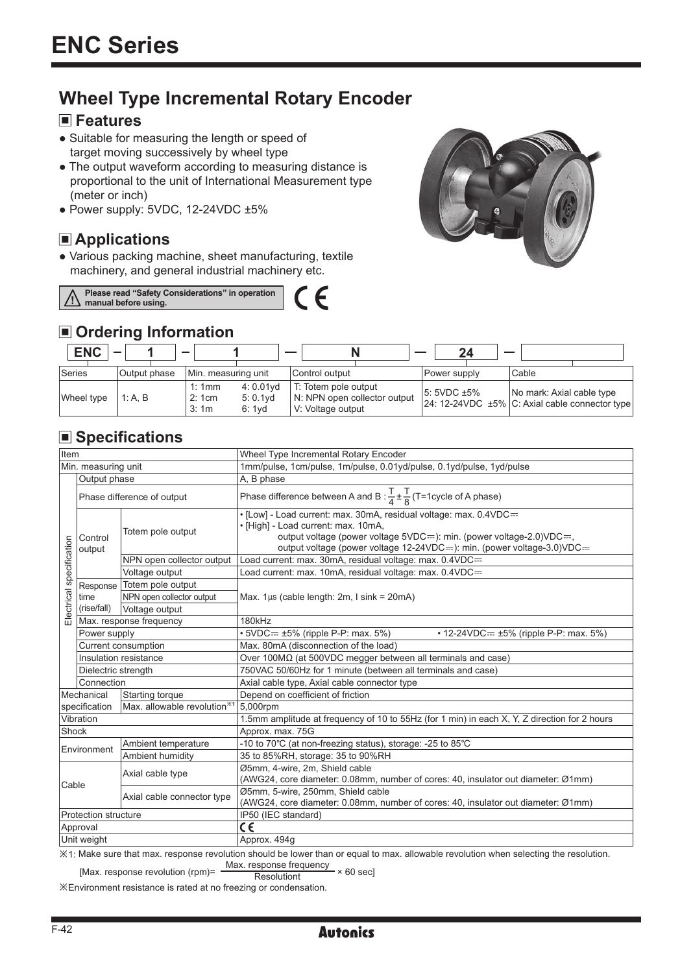# **Wheel Type Incremental Rotary Encoder**

#### **Features**

- Suitable for measuring the length or speed of target moving successively by wheel type
- The output waveform according to measuring distance is proportional to the unit of International Measurement type (meter or inch)
- $\bullet$  Power supply: 5VDC, 12-24VDC  $\pm 5\%$

### **Applications**

● Various packing machine, sheet manufacturing, textile machinery, and general industrial machinery etc.





#### **Ordering Information**

| <b>ENC</b> |              | -                                                            | _                                                                         |                  |                                                                                    |
|------------|--------------|--------------------------------------------------------------|---------------------------------------------------------------------------|------------------|------------------------------------------------------------------------------------|
| Series     | Output phase | Min. measuring unit                                          | Control output                                                            | Power supply     | Cable                                                                              |
| Wheel type | 1: A. B      | $4:0.01$ vd<br>1:1mm<br>$5:0.1$ vd<br>2:1cm<br>3:1m<br>6:1vd | T: Totem pole output<br>N: NPN open collector output<br>V: Voltage output | $5:5VDC \pm 5\%$ | No mark: Axial cable type<br>$ 24:12-24VDC \pm 5\% C: Axial cable connector type $ |

## **Specifications**

| <b>Item</b>                                              |                                 |                            | Wheel Type Incremental Rotary Encoder                                                                                                                                                                                                                        |  |  |
|----------------------------------------------------------|---------------------------------|----------------------------|--------------------------------------------------------------------------------------------------------------------------------------------------------------------------------------------------------------------------------------------------------------|--|--|
| Min. measuring unit                                      |                                 |                            | 1mm/pulse, 1cm/pulse, 1m/pulse, 0.01yd/pulse, 0.1yd/pulse, 1yd/pulse                                                                                                                                                                                         |  |  |
|                                                          | Output phase                    |                            | A, B phase                                                                                                                                                                                                                                                   |  |  |
| Electrical specification                                 | Phase difference of output      |                            | Phase difference between A and B : $\frac{T}{4} \pm \frac{T}{8}$ (T=1 cycle of A phase)                                                                                                                                                                      |  |  |
|                                                          | Control<br>output               | Totem pole output          | • [Low] - Load current: max. 30mA, residual voltage: max. 0.4VDC==<br>· [High] - Load current: max. 10mA,<br>output voltage (power voltage 5VDC=): min. (power voltage-2.0)VDC=,<br>output voltage (power voltage 12-24VDC==): min. (power voltage-3.0)VDC== |  |  |
|                                                          |                                 | NPN open collector output  | Load current: max. 30mA, residual voltage: max. 0.4VDC=                                                                                                                                                                                                      |  |  |
|                                                          |                                 | Voltage output             | Load current: max. 10mA, residual voltage: max. 0.4VDC=                                                                                                                                                                                                      |  |  |
|                                                          | Response<br>time<br>(rise/fall) | Totem pole output          | Max. $1\mu s$ (cable length: 2m, I sink = 20mA)                                                                                                                                                                                                              |  |  |
|                                                          |                                 | NPN open collector output  |                                                                                                                                                                                                                                                              |  |  |
|                                                          |                                 | Voltage output             |                                                                                                                                                                                                                                                              |  |  |
|                                                          | Max. response frequency         |                            | 180kHz                                                                                                                                                                                                                                                       |  |  |
|                                                          | Power supply                    |                            | $\cdot$ 5VDC= $\pm$ 5% (ripple P-P: max. 5%)<br>• 12-24VDC= $\pm 5\%$ (ripple P-P: max. 5%)                                                                                                                                                                  |  |  |
|                                                          | Current consumption             |                            | Max. 80mA (disconnection of the load)                                                                                                                                                                                                                        |  |  |
|                                                          | Insulation resistance           |                            | Over $100\text{M}\Omega$ (at 500VDC megger between all terminals and case)                                                                                                                                                                                   |  |  |
|                                                          | Dielectric strength             |                            | 750VAC 50/60Hz for 1 minute (between all terminals and case)                                                                                                                                                                                                 |  |  |
|                                                          | Connection                      |                            | Axial cable type, Axial cable connector type                                                                                                                                                                                                                 |  |  |
| Starting torque<br>Mechanical                            |                                 |                            | Depend on coefficient of friction                                                                                                                                                                                                                            |  |  |
| Max. allowable revolution <sup>*1</sup><br>specification |                                 |                            | 5,000rpm                                                                                                                                                                                                                                                     |  |  |
| Vibration                                                |                                 |                            | 1.5mm amplitude at frequency of 10 to 55Hz (for 1 min) in each X, Y, Z direction for 2 hours                                                                                                                                                                 |  |  |
| Shock                                                    |                                 |                            | Approx. max. 75G                                                                                                                                                                                                                                             |  |  |
| Environment                                              |                                 | Ambient temperature        | -10 to 70°C (at non-freezing status), storage: -25 to 85°C                                                                                                                                                                                                   |  |  |
|                                                          |                                 | Ambient humidity           | 35 to 85%RH, storage: 35 to 90%RH                                                                                                                                                                                                                            |  |  |
| Cable                                                    |                                 | Axial cable type           | Ø5mm, 4-wire, 2m, Shield cable<br>(AWG24, core diameter: 0.08mm, number of cores: 40, insulator out diameter: Ø1mm)                                                                                                                                          |  |  |
|                                                          |                                 | Axial cable connector type | Ø5mm, 5-wire, 250mm, Shield cable<br>(AWG24, core diameter: 0.08mm, number of cores: 40, insulator out diameter: Ø1mm)                                                                                                                                       |  |  |
| Protection structure                                     |                                 |                            | IP50 (IEC standard)                                                                                                                                                                                                                                          |  |  |
| Approval                                                 |                                 |                            | C€                                                                                                                                                                                                                                                           |  |  |
| Unit weight                                              |                                 |                            | Approx. 494g                                                                                                                                                                                                                                                 |  |  |
|                                                          |                                 |                            | $X1$ . Make sure that may response revolution should be lower than or equal to may allowable revolution when selecting the resolution                                                                                                                        |  |  |

 $\%$ 1: Make sure that max. response revolution should be lower than or equal to max. allowable revolution when selecting

[Max. response revolution (rpm)=  $\frac{\text{Max.} \text{ response frequency}}{\text{Resolution}} \times 60 \text{ sec}$ ]

※Environment resistance is rated at no freezing or condensation.